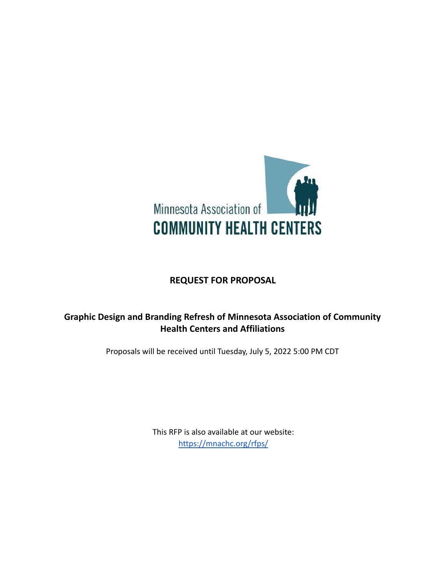

# **REQUEST FOR PROPOSAL**

# **Graphic Design and Branding Refresh of Minnesota Association of Community Health Centers and Affiliations**

Proposals will be received until Tuesday, July 5, 2022 5:00 PM CDT

This RFP is also available at our website: https://mnachc.org/rfps/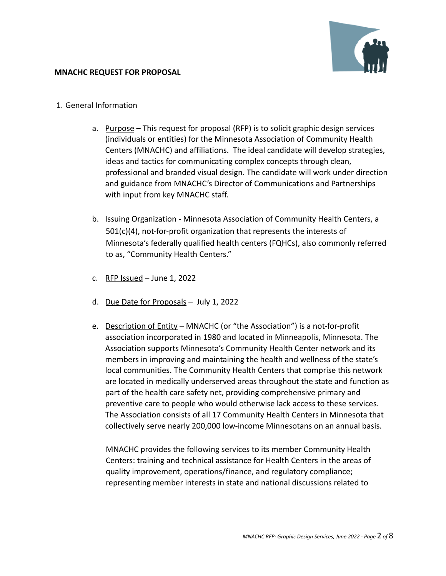

- 1. General Information
	- a. Purpose This request for proposal (RFP) is to solicit graphic design services (individuals or entities) for the Minnesota Association of Community Health Centers (MNACHC) and affiliations. The ideal candidate will develop strategies, ideas and tactics for communicating complex concepts through clean, professional and branded visual design. The candidate will work under direction and guidance from MNACHC's Director of Communications and Partnerships with input from key MNACHC staff.
	- b. Issuing Organization Minnesota Association of Community Health Centers, a 501(c)(4), not-for-profit organization that represents the interests of Minnesota's federally qualified health centers (FQHCs), also commonly referred to as, "Community Health Centers."
	- c. RFP Issued  $-$  June 1, 2022
	- d. Due Date for Proposals July 1, 2022
	- e. Description of Entity MNACHC (or "the Association") is a not-for-profit association incorporated in 1980 and located in Minneapolis, Minnesota. The Association supports Minnesota's Community Health Center network and its members in improving and maintaining the health and wellness of the state's local communities. The Community Health Centers that comprise this network are located in medically underserved areas throughout the state and function as part of the health care safety net, providing comprehensive primary and preventive care to people who would otherwise lack access to these services. The Association consists of all 17 Community Health Centers in Minnesota that collectively serve nearly 200,000 low-income Minnesotans on an annual basis.

MNACHC provides the following services to its member Community Health Centers: training and technical assistance for Health Centers in the areas of quality improvement, operations/finance, and regulatory compliance; representing member interests in state and national discussions related to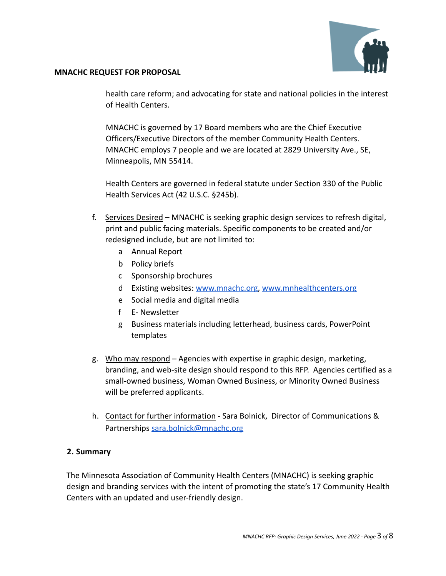

health care reform; and advocating for state and national policies in the interest of Health Centers.

MNACHC is governed by 17 Board members who are the Chief Executive Officers/Executive Directors of the member Community Health Centers. MNACHC employs 7 people and we are located at 2829 University Ave., SE, Minneapolis, MN 55414.

Health Centers are governed in federal statute under Section 330 of the Public Health Services Act (42 U.S.C. §245b).

- f. Services Desired MNACHC is seeking graphic design services to refresh digital, print and public facing materials. Specific components to be created and/or redesigned include, but are not limited to:
	- a Annual Report
	- b Policy briefs
	- c Sponsorship brochures
	- d Existing websites: [www.mnachc.org](http://www.mnachc.org), [www.mnhealthcenters.org](http://www.minnesotahealthcenters.org)
	- e Social media and digital media
	- f E- Newsletter
	- g Business materials including letterhead, business cards, PowerPoint templates
- g. Who may respond Agencies with expertise in graphic design, marketing, branding, and web-site design should respond to this RFP. Agencies certified as a small-owned business, Woman Owned Business, or Minority Owned Business will be preferred applicants.
- h. Contact for further information Sara Bolnick, Director of Communications & Partnerships sara.bolnick@mnachc.org

## **2. Summary**

The Minnesota Association of Community Health Centers (MNACHC) is seeking graphic design and branding services with the intent of promoting the state's 17 Community Health Centers with an updated and user-friendly design.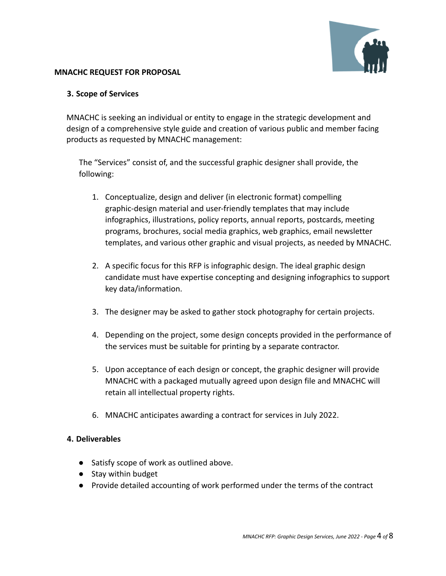

## **3. Scope of Services**

MNACHC is seeking an individual or entity to engage in the strategic development and design of a comprehensive style guide and creation of various public and member facing products as requested by MNACHC management:

The "Services" consist of, and the successful graphic designer shall provide, the following:

- 1. Conceptualize, design and deliver (in electronic format) compelling graphic-design material and user-friendly templates that may include infographics, illustrations, policy reports, annual reports, postcards, meeting programs, brochures, social media graphics, web graphics, email newsletter templates, and various other graphic and visual projects, as needed by MNACHC.
- 2. A specific focus for this RFP is infographic design. The ideal graphic design candidate must have expertise concepting and designing infographics to support key data/information.
- 3. The designer may be asked to gather stock photography for certain projects.
- 4. Depending on the project, some design concepts provided in the performance of the services must be suitable for printing by a separate contractor.
- 5. Upon acceptance of each design or concept, the graphic designer will provide MNACHC with a packaged mutually agreed upon design file and MNACHC will retain all intellectual property rights.
- 6. MNACHC anticipates awarding a contract for services in July 2022.

#### **4. Deliverables**

- Satisfy scope of work as outlined above.
- Stay within budget
- Provide detailed accounting of work performed under the terms of the contract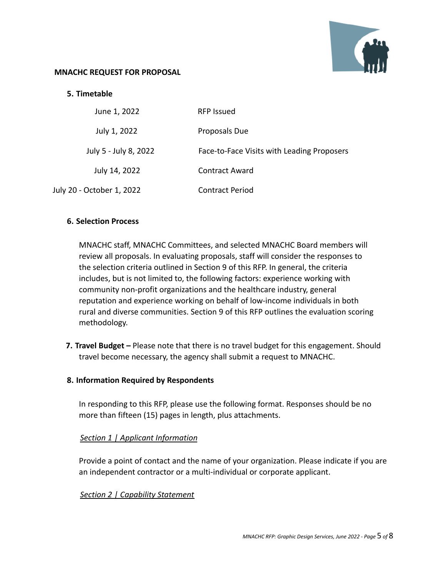

### **5. Timetable**

| June 1, 2022              | <b>RFP Issued</b>                          |
|---------------------------|--------------------------------------------|
| July 1, 2022              | Proposals Due                              |
| July 5 - July 8, 2022     | Face-to-Face Visits with Leading Proposers |
| July 14, 2022             | <b>Contract Award</b>                      |
| July 20 - October 1, 2022 | <b>Contract Period</b>                     |

#### **6. Selection Process**

MNACHC staff, MNACHC Committees, and selected MNACHC Board members will review all proposals. In evaluating proposals, staff will consider the responses to the selection criteria outlined in Section 9 of this RFP. In general, the criteria includes, but is not limited to, the following factors: experience working with community non-profit organizations and the healthcare industry, general reputation and experience working on behalf of low-income individuals in both rural and diverse communities. Section 9 of this RFP outlines the evaluation scoring methodology.

**7. Travel Budget –** Please note that there is no travel budget for this engagement. Should travel become necessary, the agency shall submit a request to MNACHC.

#### **8. Information Required by Respondents**

In responding to this RFP, please use the following format. Responses should be no more than fifteen (15) pages in length, plus attachments.

#### *Section 1 | Applicant Information*

Provide a point of contact and the name of your organization. Please indicate if you are an independent contractor or a multi-individual or corporate applicant.

#### *Section 2 | Capability Statement*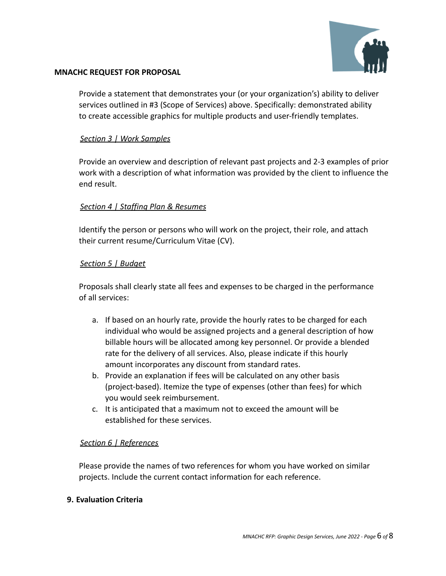

Provide a statement that demonstrates your (or your organization's) ability to deliver services outlined in #3 (Scope of Services) above. Specifically: demonstrated ability to create accessible graphics for multiple products and user-friendly templates.

## *Section 3 | Work Samples*

Provide an overview and description of relevant past projects and 2-3 examples of prior work with a description of what information was provided by the client to influence the end result.

## *Section 4 | Staffing Plan & Resumes*

Identify the person or persons who will work on the project, their role, and attach their current resume/Curriculum Vitae (CV).

#### *Section 5 | Budget*

Proposals shall clearly state all fees and expenses to be charged in the performance of all services:

- a. If based on an hourly rate, provide the hourly rates to be charged for each individual who would be assigned projects and a general description of how billable hours will be allocated among key personnel. Or provide a blended rate for the delivery of all services. Also, please indicate if this hourly amount incorporates any discount from standard rates.
- b. Provide an explanation if fees will be calculated on any other basis (project-based). Itemize the type of expenses (other than fees) for which you would seek reimbursement.
- c. It is anticipated that a maximum not to exceed the amount will be established for these services.

#### *Section 6 | References*

Please provide the names of two references for whom you have worked on similar projects. Include the current contact information for each reference.

#### **9. Evaluation Criteria**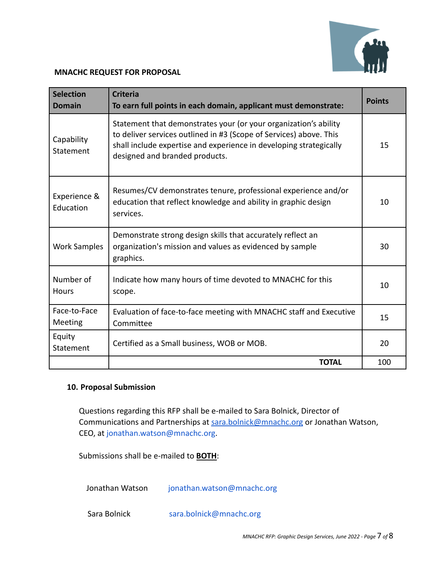

| <b>Selection</b><br><b>Domain</b> | <b>Criteria</b><br>To earn full points in each domain, applicant must demonstrate:                                                                                                                                                             | <b>Points</b> |
|-----------------------------------|------------------------------------------------------------------------------------------------------------------------------------------------------------------------------------------------------------------------------------------------|---------------|
| Capability<br>Statement           | Statement that demonstrates your (or your organization's ability<br>to deliver services outlined in #3 (Scope of Services) above. This<br>shall include expertise and experience in developing strategically<br>designed and branded products. | 15            |
| Experience &<br>Education         | Resumes/CV demonstrates tenure, professional experience and/or<br>education that reflect knowledge and ability in graphic design<br>services.                                                                                                  | 10            |
| <b>Work Samples</b>               | Demonstrate strong design skills that accurately reflect an<br>organization's mission and values as evidenced by sample<br>graphics.                                                                                                           | 30            |
| Number of<br><b>Hours</b>         | Indicate how many hours of time devoted to MNACHC for this<br>scope.                                                                                                                                                                           | 10            |
| Face-to-Face<br>Meeting           | Evaluation of face-to-face meeting with MNACHC staff and Executive<br>Committee                                                                                                                                                                | 15            |
| Equity<br>Statement               | Certified as a Small business, WOB or MOB.                                                                                                                                                                                                     | 20            |
|                                   | <b>TOTAL</b>                                                                                                                                                                                                                                   | 100           |

#### **10. Proposal Submission**

Questions regarding this RFP shall be e-mailed to Sara Bolnick, Director of Communications and Partnerships at [sara.bolnick@mnachc.org](mailto:sara.bolnick@mnachc.org) or Jonathan Watson, CEO, at jonathan.watson@mnachc.org.

Submissions shall be e-mailed to **BOTH**:

Jonathan Watson jonathan.watson@mnachc.org

Sara Bolnick sara.bolnick@mnachc.org